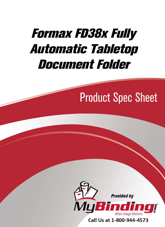# [Formax FD38x Fully](https://www.mybinding.com/formax-fd38x-fully-automatic-tabletop-document-folder.html)  Automatic Tabletop Document Folder

### Product Spec Sheet



Call Us at 1-800-944-4573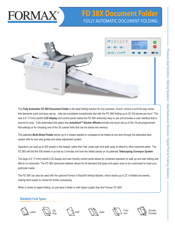# FORMAX

### **[FD 38X Document Folder](https://www.mybinding.com/formax-fd38x-fully-automatic-tabletop-document-folder.html)** Fully Automatic document folding



The *Fully Automatic FD 38X Document Folder* is the ideal folding solution for any business, church, school or print-for-pay center that demands quick and easy set-up. Jobs are completed exceptionally fast with the FD 38X folding up to 20,100 pieces per hour! The new 2.8" (71mm) backlit *LCD display* and control panel makes the FD 38X extremely easy to use and provides a user interface that is second to none. Fully automated fold plates and **AutoStack™ Stacker Wheels** provide one touch set-up of the 18 pre-programmed fold settings or for choosing one of the 35 custom folds that can be stored into memory.

The patented *Multi-Sheet Feeder* allows up to 4 sheets stapled or unstapled to be folded at one time through the dedicated feed system with its own side guides and skew adjustment system.

Operators can load up to 500 sheets in the hopper, select their fold, press start and walk away to attend to other important tasks. The FD 38X will fold the 500 sheets in as fast as 2 minutes and hold the folded pieces on its patented *Telescoping Conveyor System*.

The large 2.8" (71mm) backlit LCD display and user friendly control panel allows for untrained operators to walk up and start folding with little to no instruction. The FD 38X advanced software allows for all standard fold types and paper sizes to be customized to meet your particular needs.

The FD 38X can also be used with the optional Formax V-Stack36 Vertical Stacker, which stacks up to 22" of folded documents, making them easier to unload for further processing.

When it comes to paper folding, no one does it faster or with higher quality than the Formax FD 38X!

#### **Standard Fold Types**